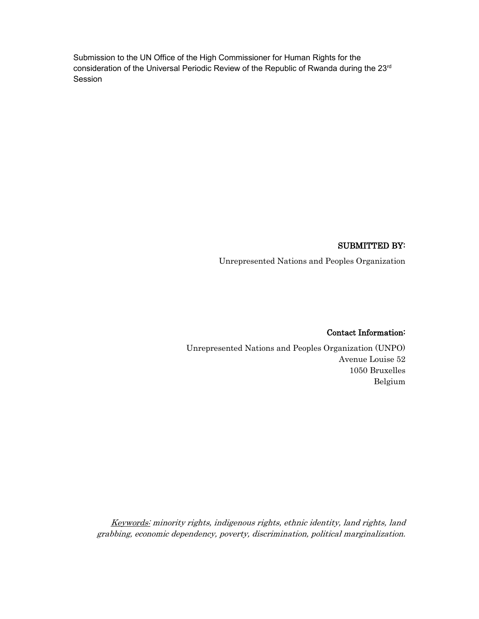Submission to the UN Office of the High Commissioner for Human Rights for the consideration of the Universal Periodic Review of the Republic of Rwanda during the 23<sup>rd</sup> Session

#### SUBMITTED BY:

Unrepresented Nations and Peoples Organization

#### Contact Information:

Unrepresented Nations and Peoples Organization (UNPO) Avenue Louise 52 1050 Bruxelles Belgium

Keywords: minority rights, indigenous rights, ethnic identity, land rights, land grabbing, economic dependency, poverty, discrimination, political marginalization.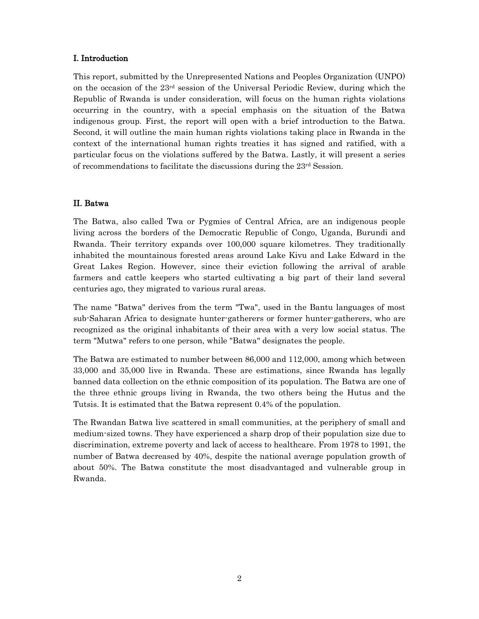## I. Introduction

This report, submitted by the Unrepresented Nations and Peoples Organization (UNPO) on the occasion of the  $23<sup>rd</sup>$  session of the Universal Periodic Review, during which the Republic of Rwanda is under consideration, will focus on the human rights violations occurring in the country, with a special emphasis on the situation of the Batwa indigenous group. First, the report will open with a brief introduction to the Batwa. Second, it will outline the main human rights violations taking place in Rwanda in the context of the international human rights treaties it has signed and ratified, with a particular focus on the violations suffered by the Batwa. Lastly, it will present a series of recommendations to facilitate the discussions during the 23rd Session.

## II. Batwa

The Batwa, also called Twa or Pygmies of Central Africa, are an indigenous people living across the borders of the Democratic Republic of Congo, Uganda, Burundi and Rwanda. Their territory expands over 100,000 square kilometres. They traditionally inhabited the mountainous forested areas around Lake Kivu and Lake Edward in the Great Lakes Region. However, since their eviction following the arrival of arable farmers and cattle keepers who started cultivating a big part of their land several centuries ago, they migrated to various rural areas.

The name "Batwa" derives from the term "Twa", used in the Bantu languages of most sub-Saharan Africa to designate hunter-gatherers or former hunter-gatherers, who are recognized as the original inhabitants of their area with a very low social status. The term "Mutwa" refers to one person, while "Batwa" designates the people.

The Batwa are estimated to number between 86,000 and 112,000, among which between 33,000 and 35,000 live in Rwanda. These are estimations, since Rwanda has legally banned data collection on the ethnic composition of its population. The Batwa are one of the three ethnic groups living in Rwanda, the two others being the Hutus and the Tutsis. It is estimated that the Batwa represent 0.4% of the population.

The Rwandan Batwa live scattered in small communities, at the periphery of small and medium-sized towns. They have experienced a sharp drop of their population size due to discrimination, extreme poverty and lack of access to healthcare. From 1978 to 1991, the number of Batwa decreased by 40%, despite the national average population growth of about 50%. The Batwa constitute the most disadvantaged and vulnerable group in Rwanda.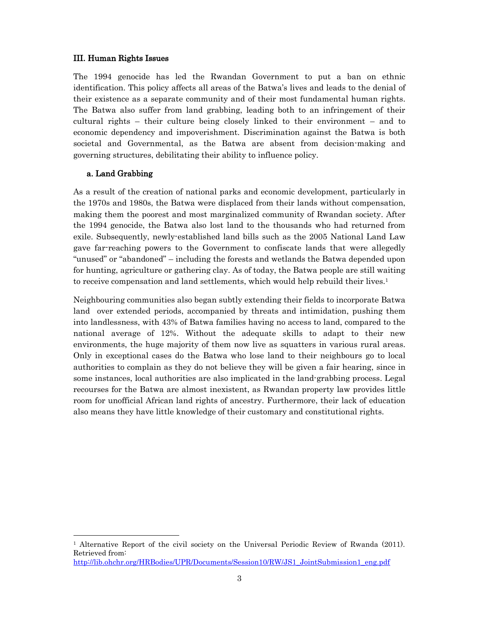#### III. Human Rights Issues

The 1994 genocide has led the Rwandan Government to put a ban on ethnic identification. This policy affects all areas of the Batwa's lives and leads to the denial of their existence as a separate community and of their most fundamental human rights. The Batwa also suffer from land grabbing, leading both to an infringement of their cultural rights – their culture being closely linked to their environment – and to economic dependency and impoverishment. Discrimination against the Batwa is both societal and Governmental, as the Batwa are absent from decision-making and governing structures, debilitating their ability to influence policy.

## a. Land Grabbing

 $\overline{a}$ 

As a result of the creation of national parks and economic development, particularly in the 1970s and 1980s, the Batwa were displaced from their lands without compensation, making them the poorest and most marginalized community of Rwandan society. After the 1994 genocide, the Batwa also lost land to the thousands who had returned from exile. Subsequently, newly-established land bills such as the 2005 National Land Law gave far-reaching powers to the Government to confiscate lands that were allegedly "unused" or "abandoned" – including the forests and wetlands the Batwa depended upon for hunting, agriculture or gathering clay. As of today, the Batwa people are still waiting to receive compensation and land settlements, which would help rebuild their lives.<sup>1</sup>

Neighbouring communities also began subtly extending their fields to incorporate Batwa land over extended periods, accompanied by threats and intimidation, pushing them into landlessness, with 43% of Batwa families having no access to land, compared to the national average of 12%. Without the adequate skills to adapt to their new environments, the huge majority of them now live as squatters in various rural areas. Only in exceptional cases do the Batwa who lose land to their neighbours go to local authorities to complain as they do not believe they will be given a fair hearing, since in some instances, local authorities are also implicated in the land-grabbing process. Legal recourses for the Batwa are almost inexistent, as Rwandan property law provides little room for unofficial African land rights of ancestry. Furthermore, their lack of education also means they have little knowledge of their customary and constitutional rights.

<sup>&</sup>lt;sup>1</sup> Alternative Report of the civil society on the Universal Periodic Review of Rwanda (2011). Retrieved from: http://lib.ohchr.org/HRBodies/UPR/Documents/Session10/RW/JS1\_JointSubmission1\_eng.pdf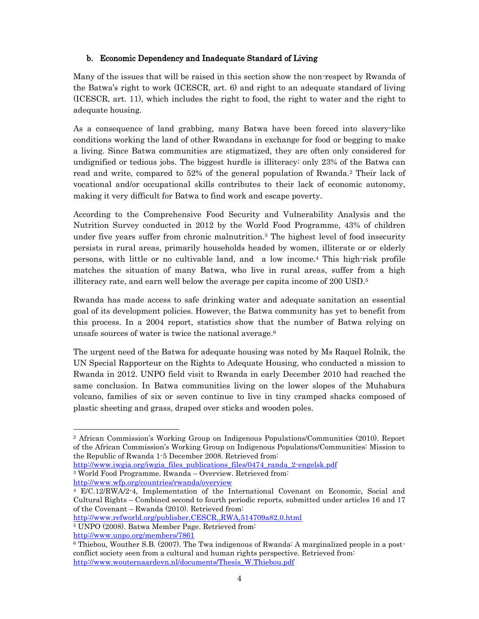# b. Economic Dependency and Inadequate Standard of Living

Many of the issues that will be raised in this section show the non-respect by Rwanda of the Batwa's right to work (ICESCR, art. 6) and right to an adequate standard of living (ICESCR, art. 11), which includes the right to food, the right to water and the right to adequate housing.

As a consequence of land grabbing, many Batwa have been forced into slavery-like conditions working the land of other Rwandans in exchange for food or begging to make a living. Since Batwa communities are stigmatized, they are often only considered for undignified or tedious jobs. The biggest hurdle is illiteracy: only 23% of the Batwa can read and write, compared to 52% of the general population of Rwanda.<sup>2</sup> Their lack of vocational and/or occupational skills contributes to their lack of economic autonomy, making it very difficult for Batwa to find work and escape poverty.

According to the Comprehensive Food Security and Vulnerability Analysis and the Nutrition Survey conducted in 2012 by the World Food Programme, 43% of children under five years suffer from chronic malnutrition.<sup>3</sup> The highest level of food insecurity persists in rural areas, primarily households headed by women, illiterate or or elderly persons, with little or no cultivable land, and a low income. <sup>4</sup> This high-risk profile matches the situation of many Batwa, who live in rural areas, suffer from a high illiteracy rate, and earn well below the average per capita income of 200 USD.5

Rwanda has made access to safe drinking water and adequate sanitation an essential goal of its development policies. However, the Batwa community has yet to benefit from this process. In a 2004 report, statistics show that the number of Batwa relying on unsafe sources of water is twice the national average. 6

The urgent need of the Batwa for adequate housing was noted by Ms Raquel Rolnik, the UN Special Rapporteur on the Rights to Adequate Housing, who conducted a mission to Rwanda in 2012. UNPO field visit to Rwanda in early December 2010 had reached the same conclusion. In Batwa communities living on the lower slopes of the Muhabura volcano, families of six or seven continue to live in tiny cramped shacks composed of plastic sheeting and grass, draped over sticks and wooden poles.

http://www.refworld.org/publisher,CESCR,,RWA,514709a82,0.html

http://www.unpo.org/members/7861

 $\overline{a}$ 

<sup>2</sup> African Commission's Working Group on Indigenous Populations/Communities (2010). Report of the African Commission's Working Group on Indigenous Populations/Communities: Mission to the Republic of Rwanda 1-5 December 2008. Retrieved from:

http://www.iwgia.org/iwgia\_files\_publications\_files/0474\_randa\_2-engelsk.pdf <sup>3</sup> World Food Programme. Rwanda – Overview. Retrieved from: http://www.wfp.org/countries/rwanda/overview

<sup>4</sup> E/C.12/RWA/2-4, Implementation of the International Covenant on Economic, Social and Cultural Rights – Combined second to fourth periodic reports, submitted under articles 16 and 17 of the Covenant – Rwanda (2010). Retrieved from:

<sup>5</sup> UNPO (2008). Batwa Member Page. Retrieved from:

<sup>6</sup> Thiebou, Wouther S.B. (2007). The Twa indigenous of Rwanda: A marginalized people in a postconflict society seen from a cultural and human rights perspective. Retrieved from: http://www.wouternaardevn.nl/documents/Thesis\_W.Thiebou.pdf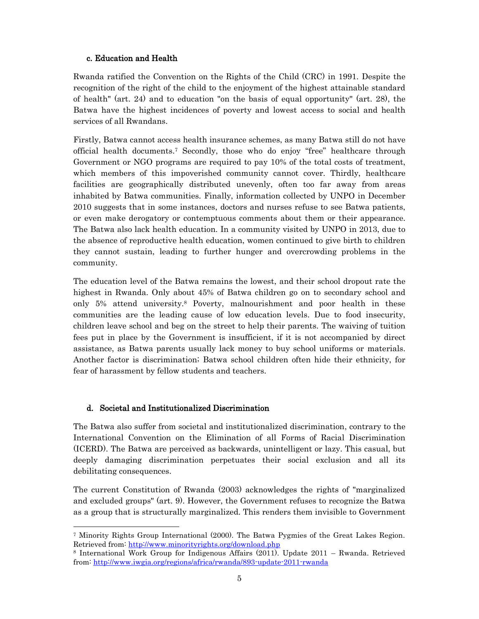# c. Education and Health

Rwanda ratified the Convention on the Rights of the Child (CRC) in 1991. Despite the recognition of the right of the child to the enjoyment of the highest attainable standard of health" (art. 24) and to education "on the basis of equal opportunity" (art. 28), the Batwa have the highest incidences of poverty and lowest access to social and health services of all Rwandans.

Firstly, Batwa cannot access health insurance schemes, as many Batwa still do not have official health documents. <sup>7</sup> Secondly, those who do enjoy "free" healthcare through Government or NGO programs are required to pay 10% of the total costs of treatment, which members of this impoverished community cannot cover. Thirdly, healthcare facilities are geographically distributed unevenly, often too far away from areas inhabited by Batwa communities. Finally, information collected by UNPO in December 2010 suggests that in some instances, doctors and nurses refuse to see Batwa patients, or even make derogatory or contemptuous comments about them or their appearance. The Batwa also lack health education. In a community visited by UNPO in 2013, due to the absence of reproductive health education, women continued to give birth to children they cannot sustain, leading to further hunger and overcrowding problems in the community.

The education level of the Batwa remains the lowest, and their school dropout rate the highest in Rwanda. Only about 45% of Batwa children go on to secondary school and only 5% attend university.8 Poverty, malnourishment and poor health in these communities are the leading cause of low education levels. Due to food insecurity, children leave school and beg on the street to help their parents. The waiving of tuition fees put in place by the Government is insufficient, if it is not accompanied by direct assistance, as Batwa parents usually lack money to buy school uniforms or materials. Another factor is discrimination; Batwa school children often hide their ethnicity, for fear of harassment by fellow students and teachers.

# d. Societal and Institutionalized Discrimination

 $\overline{a}$ 

The Batwa also suffer from societal and institutionalized discrimination, contrary to the International Convention on the Elimination of all Forms of Racial Discrimination (ICERD). The Batwa are perceived as backwards, unintelligent or lazy. This casual, but deeply damaging discrimination perpetuates their social exclusion and all its debilitating consequences.

The current Constitution of Rwanda (2003) acknowledges the rights of "marginalized and excluded groups" (art. 9). However, the Government refuses to recognize the Batwa as a group that is structurally marginalized. This renders them invisible to Government

<sup>7</sup> Minority Rights Group International (2000). The Batwa Pygmies of the Great Lakes Region. Retrieved from: http://www.minorityrights.org/download.php

<sup>8</sup> International Work Group for Indigenous Affairs (2011). Update 2011 – Rwanda. Retrieved from: http://www.iwgia.org/regions/africa/rwanda/893-update-2011-rwanda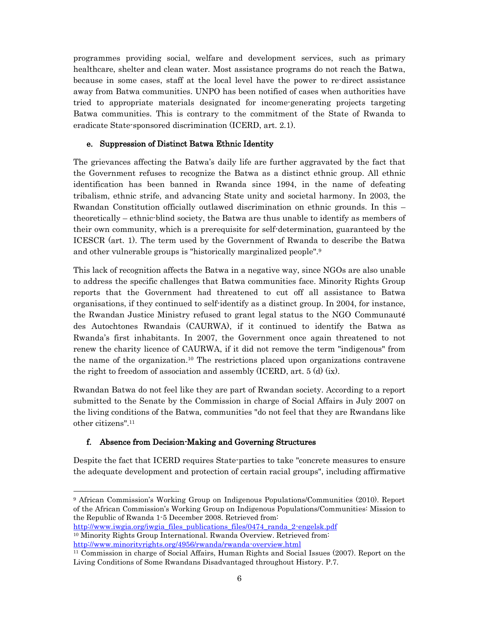programmes providing social, welfare and development services, such as primary healthcare, shelter and clean water. Most assistance programs do not reach the Batwa, because in some cases, staff at the local level have the power to re-direct assistance away from Batwa communities. UNPO has been notified of cases when authorities have tried to appropriate materials designated for income-generating projects targeting Batwa communities. This is contrary to the commitment of the State of Rwanda to eradicate State-sponsored discrimination (ICERD, art. 2.1).

## e. Suppression of Distinct Batwa Ethnic Identity

The grievances affecting the Batwa's daily life are further aggravated by the fact that the Government refuses to recognize the Batwa as a distinct ethnic group. All ethnic identification has been banned in Rwanda since 1994, in the name of defeating tribalism, ethnic strife, and advancing State unity and societal harmony. In 2003, the Rwandan Constitution officially outlawed discrimination on ethnic grounds. In this – theoretically – ethnic-blind society, the Batwa are thus unable to identify as members of their own community, which is a prerequisite for self-determination, guaranteed by the ICESCR (art. 1). The term used by the Government of Rwanda to describe the Batwa and other vulnerable groups is "historically marginalized people".9

This lack of recognition affects the Batwa in a negative way, since NGOs are also unable to address the specific challenges that Batwa communities face. Minority Rights Group reports that the Government had threatened to cut off all assistance to Batwa organisations, if they continued to self-identify as a distinct group. In 2004, for instance, the Rwandan Justice Ministry refused to grant legal status to the NGO Communauté des Autochtones Rwandais (CAURWA), if it continued to identify the Batwa as Rwanda's first inhabitants. In 2007, the Government once again threatened to not renew the charity licence of CAURWA, if it did not remove the term "indigenous" from the name of the organization.10 The restrictions placed upon organizations contravene the right to freedom of association and assembly (ICERD, art.  $5(d)(ix)$ ).

Rwandan Batwa do not feel like they are part of Rwandan society. According to a report submitted to the Senate by the Commission in charge of Social Affairs in July 2007 on the living conditions of the Batwa, communities "do not feel that they are Rwandans like other citizens".11

# f. Absence from Decision-Making and Governing Structures

 $\overline{a}$ 

Despite the fact that ICERD requires State-parties to take "concrete measures to ensure the adequate development and protection of certain racial groups", including affirmative

<sup>9</sup> African Commission's Working Group on Indigenous Populations/Communities (2010). Report of the African Commission's Working Group on Indigenous Populations/Communities: Mission to the Republic of Rwanda 1-5 December 2008. Retrieved from:

http://www.iwgia.org/iwgia\_files\_publications\_files/0474\_randa\_2-engelsk.pdf <sup>10</sup> Minority Rights Group International. Rwanda Overview. Retrieved from: http://www.minorityrights.org/4956/rwanda/rwanda-overview.html

<sup>11</sup> Commission in charge of Social Affairs, Human Rights and Social Issues (2007). Report on the Living Conditions of Some Rwandans Disadvantaged throughout History. P.7.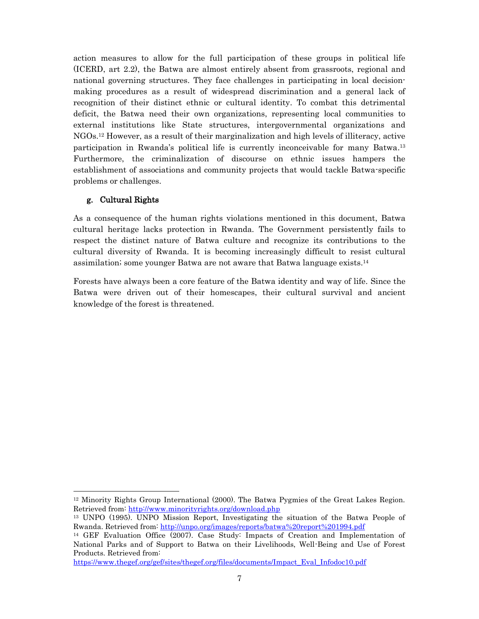action measures to allow for the full participation of these groups in political life (ICERD, art 2.2), the Batwa are almost entirely absent from grassroots, regional and national governing structures. They face challenges in participating in local decisionmaking procedures as a result of widespread discrimination and a general lack of recognition of their distinct ethnic or cultural identity. To combat this detrimental deficit, the Batwa need their own organizations, representing local communities to external institutions like State structures, intergovernmental organizations and NGOs.12 However, as a result of their marginalization and high levels of illiteracy, active participation in Rwanda's political life is currently inconceivable for many Batwa.13 Furthermore, the criminalization of discourse on ethnic issues hampers the establishment of associations and community projects that would tackle Batwa-specific problems or challenges.

# g. Cultural Rights

As a consequence of the human rights violations mentioned in this document, Batwa cultural heritage lacks protection in Rwanda. The Government persistently fails to respect the distinct nature of Batwa culture and recognize its contributions to the cultural diversity of Rwanda. It is becoming increasingly difficult to resist cultural assimilation; some younger Batwa are not aware that Batwa language exists.14

Forests have always been a core feature of the Batwa identity and way of life. Since the Batwa were driven out of their homescapes, their cultural survival and ancient knowledge of the forest is threatened.

https://www.thegef.org/gef/sites/thegef.org/files/documents/Impact\_Eval\_Infodoc10.pdf

 $\overline{a}$ <sup>12</sup> Minority Rights Group International (2000). The Batwa Pygmies of the Great Lakes Region. Retrieved from: http://www.minorityrights.org/download.php

<sup>13</sup> UNPO (1995). UNPO Mission Report, Investigating the situation of the Batwa People of Rwanda. Retrieved from: http://unpo.org/images/reports/batwa%20report%201994.pdf

<sup>14</sup> GEF Evaluation Office (2007). Case Study: Impacts of Creation and Implementation of National Parks and of Support to Batwa on their Livelihoods, Well-Being and Use of Forest Products. Retrieved from: